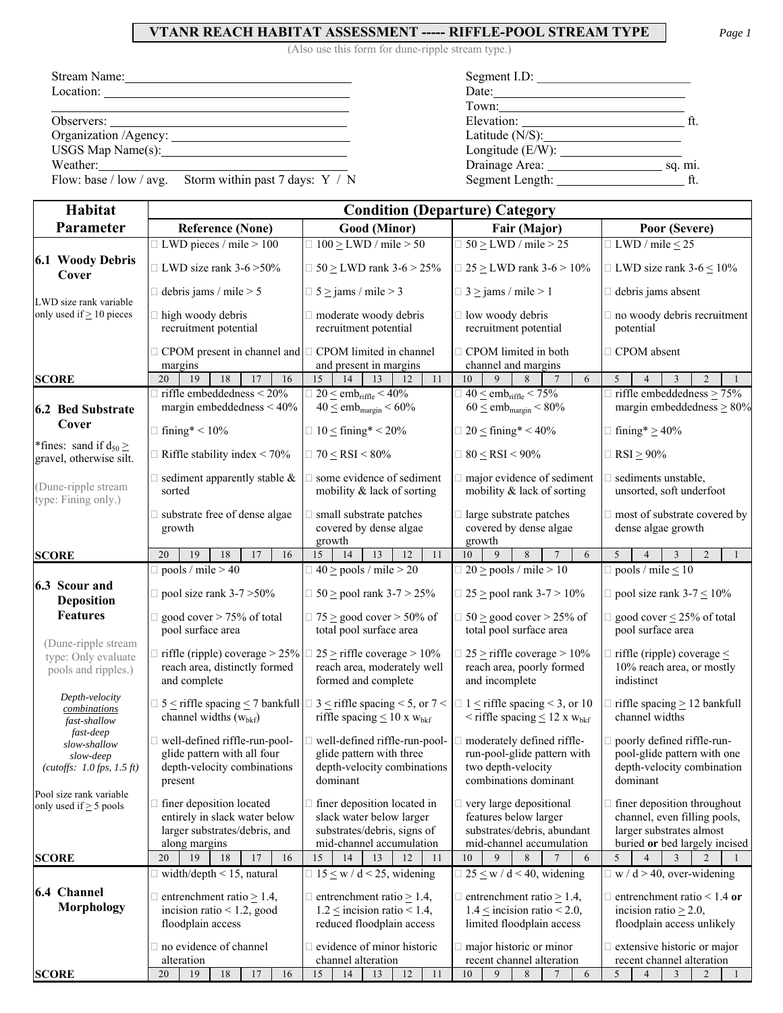## **VTANR REACH HABITAT ASSESSMENT ----- RIFFLE-POOL STREAM TYPE** *Page 1*

(Also use this form for dune-ripple stream type.)

| Stream Name:                                              | Segment I.D:              |
|-----------------------------------------------------------|---------------------------|
|                                                           | Date:                     |
|                                                           |                           |
|                                                           |                           |
| Organization /Agency:                                     | Latitude $(N/S)$ :        |
| USGS Map Name(s): 1997                                    |                           |
| Weather:                                                  | Drainage Area:<br>sq. mi. |
| Flow: base / low / avg. Storm within past 7 days: $Y / N$ | Segment Length:           |

| Habitat                                                             | <b>Condition (Departure) Category</b>                                                                                               |                                                                                                                                           |                                                                                                                                                |                                                                                                                                    |  |  |  |  |  |  |
|---------------------------------------------------------------------|-------------------------------------------------------------------------------------------------------------------------------------|-------------------------------------------------------------------------------------------------------------------------------------------|------------------------------------------------------------------------------------------------------------------------------------------------|------------------------------------------------------------------------------------------------------------------------------------|--|--|--|--|--|--|
| Parameter                                                           | <b>Reference (None)</b>                                                                                                             | Good (Minor)                                                                                                                              | Fair (Major)                                                                                                                                   | Poor (Severe)                                                                                                                      |  |  |  |  |  |  |
|                                                                     | $\Box$ LWD pieces / mile > 100                                                                                                      | $\Box$ 100 $\geq$ LWD / mile $>$ 50                                                                                                       | $\Box$ 50 > LWD / mile > 25                                                                                                                    | $\Box$ LWD / mile < 25                                                                                                             |  |  |  |  |  |  |
| 6.1 Woody Debris<br>Cover                                           | $\Box$ LWD size rank 3-6 > 50%                                                                                                      | $\Box$ 50 $\geq$ LWD rank 3-6 $>$ 25%                                                                                                     | $\Box$ 25 $\geq$ LWD rank 3-6 $>$ 10%                                                                                                          | $\Box$ LWD size rank 3-6 $\leq$ 10%                                                                                                |  |  |  |  |  |  |
|                                                                     | $\Box$ debris jams / mile > 5                                                                                                       | $\Box$ 5 $\ge$ jams / mile $>$ 3                                                                                                          | $\Box$ 3 $\ge$ jams / mile $>$ 1                                                                                                               | $\Box$ debris jams absent                                                                                                          |  |  |  |  |  |  |
| LWD size rank variable<br>only used if $\geq 10$ pieces             | $\Box$ high woody debris<br>recruitment potential                                                                                   | $\Box$ moderate woody debris<br>recruitment potential                                                                                     | $\Box$ low woody debris<br>recruitment potential                                                                                               | no woody debris recruitment<br>potential                                                                                           |  |  |  |  |  |  |
|                                                                     | $\Box$ CPOM present in channel and $\Box$ CPOM limited in channel<br>margins                                                        | and present in margins                                                                                                                    | □ CPOM limited in both<br>channel and margins                                                                                                  | □ CPOM absent                                                                                                                      |  |  |  |  |  |  |
| <b>SCORE</b>                                                        | 18<br>20<br>19<br>17<br>16                                                                                                          | 13<br>11<br>15<br>14<br>12                                                                                                                | 10<br>9<br>8<br>$7\phantom{.0}$<br>6                                                                                                           | $\mathfrak{S}$<br>3<br>2<br>$\overline{4}$                                                                                         |  |  |  |  |  |  |
|                                                                     | $\Box$ riffle embeddedness < 20%                                                                                                    | $\Box$ 20 $\leq$ emb <sub>riffle</sub> < 40%                                                                                              | $\Box$ 40 $\le$ emb <sub>riffle</sub> < 75%                                                                                                    | $\Box$ riffle embeddedness $\geq$ 75%                                                                                              |  |  |  |  |  |  |
| 6.2 Bed Substrate                                                   | margin embeddedness $<$ 40%                                                                                                         | $40 \leq emb_{margin} < 60\%$                                                                                                             | $60 \leq$ emb <sub>margin</sub> < 80%                                                                                                          | margin embeddedness $\geq 80\%$                                                                                                    |  |  |  |  |  |  |
| Cover                                                               | $\Box$ fining* < 10%                                                                                                                | $\Box$ 10 $\leq$ fining* < 20%                                                                                                            | $\Box$ 20 $\leq$ fining* < 40%                                                                                                                 | $\Box$ fining* $\geq 40\%$                                                                                                         |  |  |  |  |  |  |
| *fines: sand if $d_{50} \ge$<br>gravel, otherwise silt.             | $\Box$ Riffle stability index < 70%                                                                                                 | $\Box 70 \leq RSI \leq 80\%$                                                                                                              | $\Box$ 80 $\le$ RSI < 90%                                                                                                                      | $\Box$ RSI $\geq$ 90%                                                                                                              |  |  |  |  |  |  |
| (Dune-ripple stream<br>type: Fining only.)                          | $\Box$ sediment apparently stable $\&$<br>sorted                                                                                    | $\Box$ some evidence of sediment<br>mobility & lack of sorting                                                                            | $\Box$ major evidence of sediment<br>mobility & lack of sorting                                                                                | $\Box$ sediments unstable,<br>unsorted, soft underfoot                                                                             |  |  |  |  |  |  |
|                                                                     | substrate free of dense algae<br>growth                                                                                             | small substrate patches<br>covered by dense algae<br>growth                                                                               | $\Box$ large substrate patches<br>covered by dense algae<br>growth                                                                             | most of substrate covered by<br>dense algae growth                                                                                 |  |  |  |  |  |  |
| <b>SCORE</b>                                                        | 20<br>19<br>18<br>17<br>16                                                                                                          | 15<br>14<br>13<br>12<br>11                                                                                                                | 9<br>10<br>8<br>$\overline{7}$<br>6                                                                                                            | 5<br>$\overline{3}$<br>$\overline{2}$<br>$\overline{1}$<br>$\overline{4}$                                                          |  |  |  |  |  |  |
|                                                                     | $\Box$ pools / mile > 40                                                                                                            | $\Box$ 40 $\ge$ pools / mile $>$ 20                                                                                                       | $\Box$ 20 > pools / mile > 10                                                                                                                  | $\Box$ pools / mile $\leq 10$                                                                                                      |  |  |  |  |  |  |
| 6.3 Scour and<br><b>Deposition</b>                                  | $\Box$ pool size rank 3-7 > 50%                                                                                                     | $\Box$ 50 $\ge$ pool rank 3-7 $>$ 25%                                                                                                     | $\Box$ 25 $\ge$ pool rank 3-7 $> 10\%$                                                                                                         | $\Box$ pool size rank 3-7 $\leq$ 10%                                                                                               |  |  |  |  |  |  |
| <b>Features</b>                                                     | $\Box$ good cover > 75% of total<br>pool surface area                                                                               | $\Box$ 75 > good cover > 50% of<br>total pool surface area                                                                                | $\Box$ 50 > good cover > 25% of<br>total pool surface area                                                                                     | $\Box$ good cover $\leq$ 25% of total<br>pool surface area                                                                         |  |  |  |  |  |  |
| (Dune-ripple stream<br>type: Only evaluate<br>pools and ripples.)   | $\Box$ riffle (ripple) coverage > 25% $\Box$<br>reach area, distinctly formed<br>and complete                                       | $25 \ge$ riffle coverage > 10%<br>reach area, moderately well<br>formed and complete                                                      | $\Box$ 25 $\geq$ riffle coverage $> 10\%$<br>reach area, poorly formed<br>and incomplete                                                       | riffle (ripple) coverage $\leq$<br>10% reach area, or mostly<br>indistinct                                                         |  |  |  |  |  |  |
| Depth-velocity<br>combinations<br>fast-shallow                      | $\Box$ 5 $\leq$ riffle spacing $\leq$ 7 bankfull $\Box$ 3 $\leq$ riffle spacing $\leq$ 5, or 7 $\leq$<br>channel widths $(wbkf)$    | riffle spacing $\leq 10$ x $w_{bkf}$                                                                                                      | $\Box$ 1 $\leq$ riffle spacing $\leq$ 3, or 10<br>$\leq$ riffle spacing $\leq$ 12 x w <sub>bkf</sub>                                           | $\Box$ riffle spacing $\geq$ 12 bankfull<br>channel widths                                                                         |  |  |  |  |  |  |
| fast-deep<br>slow-shallow<br>slow-deep<br>(cutoffs: 1.0fps, 1.5 ft) | well-defined riffle-run-pool-<br>glide pattern with all four<br>depth-velocity combinations<br>present                              | $\Box$ well-defined riffle-run-pool-<br>glide pattern with three<br>depth-velocity combinations<br>dominant                               | moderately defined riffle-<br>run-pool-glide pattern with<br>two depth-velocity<br>combinations dominant                                       | poorly defined riffle-run-<br>pool-glide pattern with one<br>depth-velocity combination<br>dominant                                |  |  |  |  |  |  |
| Pool size rank variable<br>only used if $\geq$ 5 pools              | finer deposition located<br>entirely in slack water below<br>larger substrates/debris, and<br>along margins                         | $\Box$ finer deposition located in<br>slack water below larger<br>substrates/debris, signs of<br>mid-channel accumulation                 | $\Box$ very large depositional<br>features below larger<br>substrates/debris, abundant<br>mid-channel accumulation                             | $\Box$ finer deposition throughout<br>channel, even filling pools,<br>larger substrates almost<br>buried or bed largely incised    |  |  |  |  |  |  |
| <b>SCORE</b>                                                        | 19<br>20<br>16<br>18<br>17                                                                                                          | 15<br>14<br>13<br>12<br>11                                                                                                                | 10<br>9<br>8<br>6                                                                                                                              | 5<br>3                                                                                                                             |  |  |  |  |  |  |
| 6.4 Channel<br>Morphology                                           | $\exists$ width/depth < 15, natural<br>$\Box$ entrenchment ratio $\geq 1.4$ ,<br>incision ratio $< 1.2$ , good<br>floodplain access | $\Box$ 15 < w / d < 25, widening<br>$\Box$ entrenchment ratio $\geq$ 1.4,<br>$1.2 \le$ incision ratio < 1.4,<br>reduced floodplain access | $\Box$ 25 $\leq$ w / d < 40, widening<br>$\Box$ entrenchment ratio $\geq$ 1.4,<br>$1.4 \le$ incision ratio < 2.0,<br>limited floodplain access | $\Box$ w / d > 40, over-widening<br>$\Box$ entrenchment ratio < 1.4 or<br>incision ratio $\geq$ 2.0,<br>floodplain access unlikely |  |  |  |  |  |  |
|                                                                     | no evidence of channel                                                                                                              | $\Box$ evidence of minor historic                                                                                                         | $\Box$ major historic or minor                                                                                                                 | $\Box$ extensive historic or major                                                                                                 |  |  |  |  |  |  |
| <b>SCORE</b>                                                        | alteration<br>18<br>19<br>17<br>20<br>16                                                                                            | channel alteration<br>12<br>11<br>15<br>14<br>13                                                                                          | recent channel alteration<br>10<br>9<br>8<br>7<br>6                                                                                            | recent channel alteration<br>5<br>$\overline{4}$<br>3<br>2<br>$\mathbf{1}$                                                         |  |  |  |  |  |  |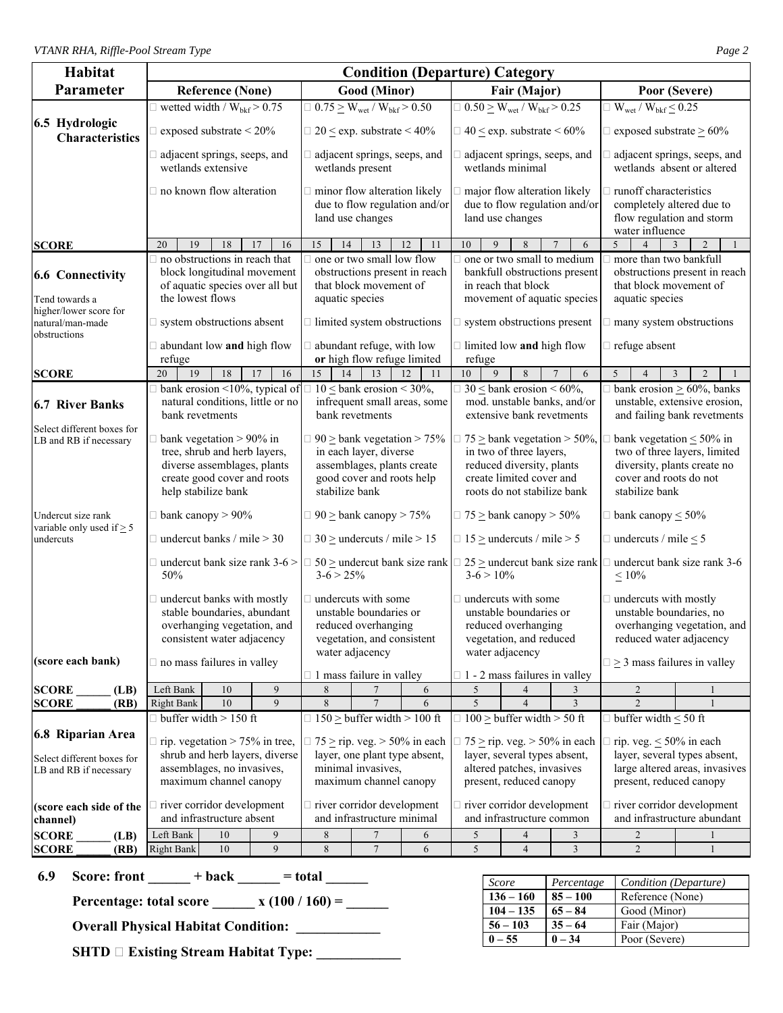| Habitat                                                                   | <b>Condition (Departure) Category</b>                                                                                                                              |                                                                                                        |                                                                                                                                                                          |                                                                                                                                                                                                                             |                                                                                      |                                                                                                                                                                          |                                                                                                                                                         |                                                                                  |                                                                                                                            |                                                                                                                                                     |                                                                                                 |  |  |
|---------------------------------------------------------------------------|--------------------------------------------------------------------------------------------------------------------------------------------------------------------|--------------------------------------------------------------------------------------------------------|--------------------------------------------------------------------------------------------------------------------------------------------------------------------------|-----------------------------------------------------------------------------------------------------------------------------------------------------------------------------------------------------------------------------|--------------------------------------------------------------------------------------|--------------------------------------------------------------------------------------------------------------------------------------------------------------------------|---------------------------------------------------------------------------------------------------------------------------------------------------------|----------------------------------------------------------------------------------|----------------------------------------------------------------------------------------------------------------------------|-----------------------------------------------------------------------------------------------------------------------------------------------------|-------------------------------------------------------------------------------------------------|--|--|
| Parameter                                                                 |                                                                                                                                                                    | <b>Reference (None)</b>                                                                                |                                                                                                                                                                          |                                                                                                                                                                                                                             | Good (Minor)                                                                         |                                                                                                                                                                          |                                                                                                                                                         | Fair (Major)                                                                     |                                                                                                                            | Poor (Severe)                                                                                                                                       |                                                                                                 |  |  |
|                                                                           |                                                                                                                                                                    | $\Box$ wetted width / $W_{\text{bkf}}$ > 0.75                                                          |                                                                                                                                                                          |                                                                                                                                                                                                                             | $\Box$ 0.75 $\geq$ W <sub>wet</sub> / W <sub>bkf</sub> $> 0.50$                      |                                                                                                                                                                          |                                                                                                                                                         | $\Box$ 0.50 $\geq$ W <sub>wet</sub> / W <sub>bkf</sub> $>$ 0.25                  |                                                                                                                            | $\Box$ W <sub>wet</sub> / W <sub>bkf</sub> $\leq$ 0.25                                                                                              |                                                                                                 |  |  |
| 6.5 Hydrologic<br><b>Characteristics</b>                                  |                                                                                                                                                                    | $\Box$ exposed substrate < 20%                                                                         |                                                                                                                                                                          |                                                                                                                                                                                                                             | $\Box$ 20 $\leq$ exp. substrate $\leq$ 40%                                           |                                                                                                                                                                          |                                                                                                                                                         | $\Box$ 40 $\leq$ exp. substrate $\leq 60\%$                                      |                                                                                                                            | $\Box$ exposed substrate $\geq 60\%$                                                                                                                |                                                                                                 |  |  |
|                                                                           | adjacent springs, seeps, and<br>wetlands extensive                                                                                                                 |                                                                                                        |                                                                                                                                                                          |                                                                                                                                                                                                                             | $\Box$ adjacent springs, seeps, and<br>wetlands present                              |                                                                                                                                                                          |                                                                                                                                                         | adjacent springs, seeps, and<br>wetlands minimal                                 |                                                                                                                            | wetlands absent or altered                                                                                                                          | adjacent springs, seeps, and                                                                    |  |  |
|                                                                           |                                                                                                                                                                    | $\Box$ no known flow alteration                                                                        |                                                                                                                                                                          |                                                                                                                                                                                                                             | $\Box$ minor flow alteration likely<br>land use changes                              | due to flow regulation and/or                                                                                                                                            |                                                                                                                                                         | major flow alteration likely<br>land use changes                                 | due to flow regulation and/or                                                                                              | runoff characteristics<br>completely altered due to<br>flow regulation and storm<br>water influence                                                 |                                                                                                 |  |  |
| <b>SCORE</b>                                                              | 20<br>19                                                                                                                                                           | 18                                                                                                     | 16<br>17                                                                                                                                                                 | 15<br>14                                                                                                                                                                                                                    | 13                                                                                   | 12<br>11                                                                                                                                                                 | 10<br>9                                                                                                                                                 | 8                                                                                | $\overline{7}$<br>6                                                                                                        | 5<br>$\overline{4}$                                                                                                                                 | 3<br>$\overline{2}$                                                                             |  |  |
| <b>6.6 Connectivity</b><br>Tend towards a<br>higher/lower score for       | the lowest flows                                                                                                                                                   | $\Box$ no obstructions in reach that<br>block longitudinal movement<br>of aquatic species over all but |                                                                                                                                                                          | aquatic species                                                                                                                                                                                                             | one or two small low flow<br>obstructions present in reach<br>that block movement of |                                                                                                                                                                          |                                                                                                                                                         | one or two small to medium<br>in reach that block<br>movement of aquatic species | bankfull obstructions present                                                                                              | more than two bankfull<br>that block movement of<br>aquatic species                                                                                 | obstructions present in reach                                                                   |  |  |
| natural/man-made<br>obstructions                                          |                                                                                                                                                                    | $\Box$ system obstructions absent                                                                      |                                                                                                                                                                          |                                                                                                                                                                                                                             | $\Box$ limited system obstructions                                                   |                                                                                                                                                                          |                                                                                                                                                         | $\Box$ system obstructions present                                               |                                                                                                                            | many system obstructions                                                                                                                            |                                                                                                 |  |  |
|                                                                           | refuge                                                                                                                                                             | $\Box$ abundant low and high flow                                                                      |                                                                                                                                                                          |                                                                                                                                                                                                                             | $\Box$ abundant refuge, with low<br>or high flow refuge limited                      |                                                                                                                                                                          | refuge                                                                                                                                                  | $\Box$ limited low and high flow                                                 |                                                                                                                            | $\Box$ refuge absent                                                                                                                                |                                                                                                 |  |  |
| <b>SCORE</b>                                                              | 20<br>19                                                                                                                                                           | 18                                                                                                     | 16<br>17                                                                                                                                                                 | 15<br>14                                                                                                                                                                                                                    | 13                                                                                   | 12<br>11                                                                                                                                                                 | 10<br>$\overline{9}$                                                                                                                                    | 8                                                                                | 6                                                                                                                          | 5<br>$\boldsymbol{\Delta}$                                                                                                                          | $\overline{2}$<br>3                                                                             |  |  |
| <b>6.7 River Banks</b>                                                    | natural conditions, little or no<br>bank revetments                                                                                                                |                                                                                                        |                                                                                                                                                                          | $\Box$ bank erosion <10%, typical of $\Box$ 10 $\leq$ bank erosion < 30%,<br>$\Box$ 30 < bank erosion < 60%,<br>mod. unstable banks, and/or<br>infrequent small areas, some<br>bank revetments<br>extensive bank revetments |                                                                                      |                                                                                                                                                                          |                                                                                                                                                         |                                                                                  |                                                                                                                            |                                                                                                                                                     | bank erosion $\geq 60\%$ , banks<br>unstable, extensive erosion,<br>and failing bank revetments |  |  |
| Select different boxes for<br>LB and RB if necessary                      | $\Box$ bank vegetation > 90% in<br>tree, shrub and herb layers,<br>diverse assemblages, plants<br>create good cover and roots<br>help stabilize bank               |                                                                                                        |                                                                                                                                                                          | $90 \geq$ bank vegetation > 75%<br>in each layer, diverse<br>assemblages, plants create<br>good cover and roots help<br>stabilize bank                                                                                      |                                                                                      |                                                                                                                                                                          | $75 \geq$ bank vegetation $> 50\%$ ,<br>in two of three layers,<br>reduced diversity, plants<br>create limited cover and<br>roots do not stabilize bank |                                                                                  | bank vegetation $\leq 50\%$ in<br>diversity, plants create no<br>cover and roots do not<br>stabilize bank                  | two of three layers, limited                                                                                                                        |                                                                                                 |  |  |
| Undercut size rank<br>variable only used if $> 5$                         |                                                                                                                                                                    | $\Box$ bank canopy > 90%                                                                               |                                                                                                                                                                          |                                                                                                                                                                                                                             | $\Box$ 90 $\geq$ bank canopy $>$ 75%                                                 |                                                                                                                                                                          | $\Box$ 75 $\geq$ bank canopy $>$ 50%                                                                                                                    |                                                                                  |                                                                                                                            | $\Box$ bank canopy $\leq 50\%$                                                                                                                      |                                                                                                 |  |  |
| undercuts                                                                 |                                                                                                                                                                    | $\Box$ undercut banks / mile > 30                                                                      |                                                                                                                                                                          |                                                                                                                                                                                                                             | $\Box$ 30 $\geq$ undercuts / mile $> 15$                                             |                                                                                                                                                                          |                                                                                                                                                         | $\Box$ 15 $\geq$ undercuts / mile $>$ 5                                          |                                                                                                                            | $\Box$ undercuts / mile $\leq$ 5                                                                                                                    |                                                                                                 |  |  |
|                                                                           | 50%                                                                                                                                                                | $\Box$ undercut bank size rank 3-6 >                                                                   |                                                                                                                                                                          | $3-6 > 25%$                                                                                                                                                                                                                 |                                                                                      | $\Box$ 50 $\geq$ undercut bank size rank $\Box$                                                                                                                          | $3-6 > 10\%$                                                                                                                                            |                                                                                  | $25 \geq$ undercut bank size rank                                                                                          | undercut bank size rank 3-6<br>$\leq 10\%$                                                                                                          |                                                                                                 |  |  |
| (score each bank)                                                         | $\Box$ undercut banks with mostly<br>stable boundaries, abundant<br>overhanging vegetation, and<br>consistent water adjacency<br>$\Box$ no mass failures in valley |                                                                                                        |                                                                                                                                                                          | $\Box$ undercuts with some<br>unstable boundaries or<br>reduced overhanging<br>vegetation, and consistent<br>water adjacency                                                                                                |                                                                                      |                                                                                                                                                                          | $\Box$ undercuts with some<br>unstable boundaries or<br>reduced overhanging<br>vegetation, and reduced<br>water adjacency                               |                                                                                  |                                                                                                                            | undercuts with mostly<br>unstable boundaries, no<br>overhanging vegetation, and<br>reduced water adjacency<br>$\Box \geq 3$ mass failures in valley |                                                                                                 |  |  |
|                                                                           |                                                                                                                                                                    |                                                                                                        |                                                                                                                                                                          |                                                                                                                                                                                                                             | $\Box$ 1 mass failure in valley                                                      |                                                                                                                                                                          |                                                                                                                                                         | $\Box$ 1 - 2 mass failures in valley                                             |                                                                                                                            |                                                                                                                                                     |                                                                                                 |  |  |
| <b>SCORE</b><br>(LB)                                                      | Left Bank                                                                                                                                                          | 10<br>10                                                                                               | 9<br>9                                                                                                                                                                   | 8<br>$\overline{8}$                                                                                                                                                                                                         |                                                                                      | 6<br>6                                                                                                                                                                   | 5<br>5                                                                                                                                                  | 4<br>$\overline{4}$                                                              | 3<br>3                                                                                                                     | 2<br>$\overline{2}$                                                                                                                                 |                                                                                                 |  |  |
| <b>SCORE</b><br>(RB)                                                      | <b>Right Bank</b>                                                                                                                                                  |                                                                                                        |                                                                                                                                                                          |                                                                                                                                                                                                                             |                                                                                      |                                                                                                                                                                          |                                                                                                                                                         |                                                                                  |                                                                                                                            | $\Box$ buffer width $\leq 50$ ft                                                                                                                    |                                                                                                 |  |  |
| 6.8 Riparian Area<br>Select different boxes for<br>LB and RB if necessary | $\Box$ buffer width > 150 ft<br>$\Box$ rip. vegetation > 75% in tree,<br>shrub and herb layers, diverse<br>assemblages, no invasives,<br>maximum channel canopy    |                                                                                                        | $\Box$ 150 $\geq$ buffer width $>$ 100 ft<br>$\Box$ 75 $\geq$ rip. veg. $>$ 50% in each<br>layer, one plant type absent,<br>minimal invasives,<br>maximum channel canopy |                                                                                                                                                                                                                             |                                                                                      | $\Box$ 100 > buffer width > 50 ft<br>$\Box$ 75 $\geq$ rip. veg. $>$ 50% in each<br>layer, several types absent,<br>altered patches, invasives<br>present, reduced canopy |                                                                                                                                                         |                                                                                  | rip. veg. $\leq 50\%$ in each<br>layer, several types absent,<br>large altered areas, invasives<br>present, reduced canopy |                                                                                                                                                     |                                                                                                 |  |  |
| (score each side of the<br>channel)                                       |                                                                                                                                                                    | in river corridor development<br>and infrastructure absent                                             |                                                                                                                                                                          |                                                                                                                                                                                                                             | $\Box$ river corridor development<br>and infrastructure minimal                      |                                                                                                                                                                          |                                                                                                                                                         | $\Box$ river corridor development<br>and infrastructure common                   |                                                                                                                            |                                                                                                                                                     | river corridor development<br>and infrastructure abundant                                       |  |  |
| <b>SCORE</b><br>(LB)                                                      | Left Bank                                                                                                                                                          | $10\,$                                                                                                 | 9                                                                                                                                                                        | $\,8\,$                                                                                                                                                                                                                     | $\overline{7}$                                                                       | 6                                                                                                                                                                        | $\sqrt{5}$                                                                                                                                              | $\overline{4}$                                                                   | 3                                                                                                                          | $\mathbf{2}$                                                                                                                                        |                                                                                                 |  |  |
| <b>SCORE</b><br>(RB)                                                      | <b>Right Bank</b>                                                                                                                                                  | 10                                                                                                     | 9                                                                                                                                                                        | 8                                                                                                                                                                                                                           | $\overline{7}$                                                                       | 6                                                                                                                                                                        | 5                                                                                                                                                       | $\overline{4}$                                                                   | 3                                                                                                                          | $\overline{2}$                                                                                                                                      |                                                                                                 |  |  |

**6.9** Score: front  $\_\_\_\_ + \text{back} \_\_\_\_\_ = \text{total} \_\_\_\_\_\_$ 

**Percentage: total score \_\_\_\_\_\_ x**  $(100 / 160) =$  \_\_\_\_\_

**Overall Physical Habitat Condition:** 

**SHTD**  $\Box$  **Existing Stream Habitat Type:** \_\_\_\_\_\_\_\_\_\_\_\_\_

| Score       | Percentage | Condition (Departure) |
|-------------|------------|-----------------------|
| $136 - 160$ | $85 - 100$ | Reference (None)      |
| $104 - 135$ | $65 - 84$  | Good (Minor)          |
| $56 - 103$  | $35 - 64$  | Fair (Major)          |
| $0 - 55$    | $0 - 34$   | Poor (Severe)         |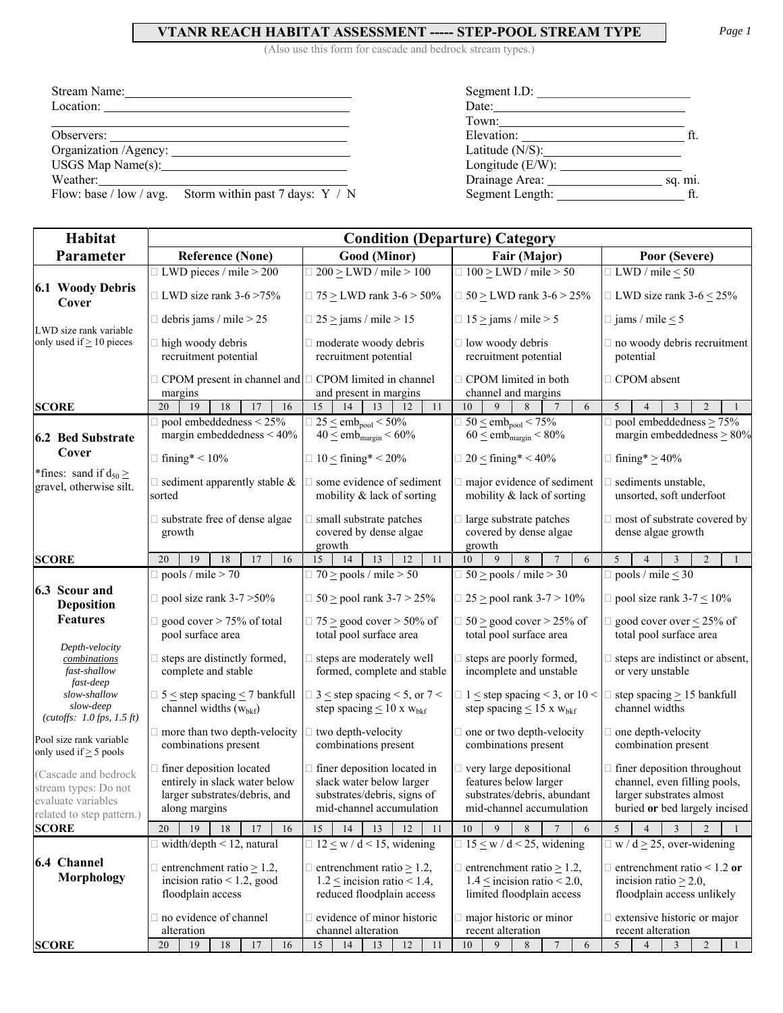## **VTANR REACH HABITAT ASSESSMENT ----- STEP-POOL STREAM TYPE** *Page 1*

(Also use this form for cascade and bedrock stream types.)

| Stream Name: | Segment I.D:                                                                                                                                                                                                                   |         |
|--------------|--------------------------------------------------------------------------------------------------------------------------------------------------------------------------------------------------------------------------------|---------|
| Location:    | Date:                                                                                                                                                                                                                          |         |
|              |                                                                                                                                                                                                                                |         |
|              | Elevation:                                                                                                                                                                                                                     | ft      |
|              | Latitude $(N/S)$ :                                                                                                                                                                                                             |         |
|              | Longitude (E/W):                                                                                                                                                                                                               |         |
|              | Drainage Area: University of the University of the University of the University of the University of the University of the University of the University of the University of the University of the University of the Universit | sq. mi. |
|              |                                                                                                                                                                                                                                |         |

| Segment I.D:          |         |
|-----------------------|---------|
| Date:                 |         |
| Town: $\qquad \qquad$ |         |
| Elevation:            |         |
| Latitude $(N/S)$ :    |         |
| Longitude $(E/W)$ :   |         |
| Drainage Area:        | sq. mi. |
| Segment Length:       |         |
|                       |         |

Flow: base / low / avg. Storm within past 7 days: Y / N

| <b>Habitat</b>                                                                                 | <b>Condition (Departure) Category</b>                                                                              |                                                                                                                           |                                                                                                                    |                                                                                                                                 |  |  |  |  |
|------------------------------------------------------------------------------------------------|--------------------------------------------------------------------------------------------------------------------|---------------------------------------------------------------------------------------------------------------------------|--------------------------------------------------------------------------------------------------------------------|---------------------------------------------------------------------------------------------------------------------------------|--|--|--|--|
| Parameter                                                                                      | <b>Reference (None)</b>                                                                                            | <b>Good</b> (Minor)                                                                                                       | Fair (Major)                                                                                                       | Poor (Severe)                                                                                                                   |  |  |  |  |
|                                                                                                | $\Box$ LWD pieces / mile > 200                                                                                     | $\Box$ 200 $\geq$ LWD / mile $>$ 100                                                                                      | $\Box$ 100 > LWD / mile > 50                                                                                       | $\Box$ LWD / mile < 50                                                                                                          |  |  |  |  |
| 6.1 Woody Debris<br>Cover                                                                      | $\Box$ LWD size rank 3-6 >75%                                                                                      | $\Box$ 75 $\geq$ LWD rank 3-6 $>$ 50%                                                                                     | $\Box$ 50 $\geq$ LWD rank 3-6 $>$ 25%                                                                              | □ LWD size rank $3-6 \le 25\%$                                                                                                  |  |  |  |  |
| LWD size rank variable                                                                         | $\Box$ debris jams / mile > 25                                                                                     | $\Box$ 25 $\ge$ jams / mile > 15                                                                                          | $\Box$ 15 $\ge$ jams / mile > 5                                                                                    | $\Box$ jams / mile $\leq$ 5                                                                                                     |  |  |  |  |
| only used if $\geq 10$ pieces                                                                  | $\Box$ high woody debris<br>recruitment potential                                                                  | moderate woody debris<br>recruitment potential                                                                            | low woody debris<br>recruitment potential                                                                          | no woody debris recruitment<br>potential                                                                                        |  |  |  |  |
|                                                                                                | $\Box$ CPOM present in channel and $\Box$ CPOM limited in channel<br>margins                                       | and present in margins                                                                                                    | $\Box$ CPOM limited in both<br>channel and margins<br>9                                                            | □ CPOM absent                                                                                                                   |  |  |  |  |
| <b>SCORE</b>                                                                                   | 20<br>19<br>18<br>16<br>17<br>$\Box$ pool embeddedness < 25%                                                       | 15<br>14<br>13<br>11<br>12                                                                                                | 10<br>8<br>6<br>$\overline{7}$                                                                                     | 5<br>2<br>3<br>$\overline{\mathcal{A}}$<br>$\Box$ pool embeddedness $\geq$ 75%                                                  |  |  |  |  |
| <b>6.2 Bed Substrate</b>                                                                       | margin embeddedness $< 40\%$                                                                                       | $\Box$ 25 $\le$ emb <sub>pool</sub> $<$ 50%<br>$40 \leq$ emb <sub>margin</sub> < $60\%$                                   | $\Box$ 50 $\le$ emb <sub>pool</sub> $\le$ 75%<br>$60 \leq$ emb <sub>margin</sub> < 80%                             | margin embeddedness $\geq 80\%$                                                                                                 |  |  |  |  |
| Cover                                                                                          | $\Box$ fining* < 10%                                                                                               | $\Box$ 10 $\leq$ fining* < 20%                                                                                            | $\Box$ 20 $\leq$ fining* < 40%                                                                                     | $\Box$ fining* $\geq$ 40%                                                                                                       |  |  |  |  |
| *fines: sand if $d_{50} \ge$<br>gravel, otherwise silt.                                        | $\Box$ sediment apparently stable &<br>sorted                                                                      | $\Box$ some evidence of sediment<br>mobility & lack of sorting                                                            | $\Box$ major evidence of sediment<br>mobility & lack of sorting                                                    | sediments unstable,<br>unsorted, soft underfoot                                                                                 |  |  |  |  |
|                                                                                                | $\Box$ substrate free of dense algae<br>growth                                                                     | small substrate patches<br>covered by dense algae<br>growth                                                               | I large substrate patches<br>covered by dense algae<br>growth                                                      | most of substrate covered by<br>dense algae growth                                                                              |  |  |  |  |
| <b>SCORE</b>                                                                                   | 18<br>17<br>20<br>19<br>16                                                                                         | 15<br>14<br>13<br>12<br>11                                                                                                | 10<br>9<br>$\overline{7}$<br>6<br>8                                                                                | 5<br>$\overline{2}$<br>$\overline{3}$<br>$\overline{4}$<br>$\overline{1}$                                                       |  |  |  |  |
|                                                                                                | $\Box$ pools / mile > 70                                                                                           | $\Box$ 70 $\ge$ pools / mile $>$ 50                                                                                       | $\Box$ 50 > pools / mile > 30                                                                                      | $\Box$ pools / mile $\leq$ 30                                                                                                   |  |  |  |  |
| 6.3 Scour and<br><b>Deposition</b>                                                             | $\Box$ pool size rank 3-7 > 50%                                                                                    | □ 50 ≥ pool rank 3-7 > 25%                                                                                                | $\Box$ 25 $\ge$ pool rank 3-7 $> 10\%$                                                                             | $\Box$ pool size rank 3-7 $\leq$ 10%                                                                                            |  |  |  |  |
| <b>Features</b>                                                                                | $\Box$ good cover > 75% of total<br>pool surface area                                                              | $\Box$ 75 $\geq$ good cover $>$ 50% of<br>total pool surface area                                                         | $\Box$ 50 $\geq$ good cover $>$ 25% of<br>total pool surface area                                                  | $\Box$ good cover over $\leq$ 25% of<br>total pool surface area                                                                 |  |  |  |  |
| Depth-velocity<br>combinations<br>fast-shallow<br>fast-deep                                    | $\Box$ steps are distinctly formed,<br>complete and stable                                                         | $\Box$ steps are moderately well<br>formed, complete and stable                                                           | steps are poorly formed,<br>incomplete and unstable                                                                | steps are indistinct or absent,<br>or very unstable                                                                             |  |  |  |  |
| slow-shallow<br>slow-deep<br>(cutoffs: $1.0$ fps, $1.5$ ft)                                    | $\Box$ 5 $\leq$ step spacing $\leq$ 7 bankfull<br>channel widths $(wbkf)$                                          | $\Box$ 3 $\le$ step spacing $\le$ 5, or 7 $\le$<br>step spacing $\leq 10$ x $w_{bkf}$                                     | $\Box$ 1 $\le$ step spacing < 3, or 10 <<br>step spacing $\leq$ 15 x w <sub>bkf</sub>                              | $\exists$ step spacing $\geq$ 15 bankfull<br>channel widths                                                                     |  |  |  |  |
| Pool size rank variable<br>only used if $\geq$ 5 pools                                         | $\Box$ more than two depth-velocity<br>combinations present                                                        | $\Box$ two depth-velocity<br>combinations present                                                                         | $\Box$ one or two depth-velocity<br>combinations present                                                           | $\Box$ one depth-velocity<br>combination present                                                                                |  |  |  |  |
| Cascade and bedrock<br>stream types: Do not<br>evaluate variables<br>related to step pattern.) | $\Box$ finer deposition located<br>entirely in slack water below<br>larger substrates/debris, and<br>along margins | $\Box$ finer deposition located in<br>slack water below larger<br>substrates/debris, signs of<br>mid-channel accumulation | $\Box$ very large depositional<br>features below larger<br>substrates/debris, abundant<br>mid-channel accumulation | $\Box$ finer deposition throughout<br>channel, even filling pools,<br>larger substrates almost<br>buried or bed largely incised |  |  |  |  |
| <b>SCORE</b>                                                                                   | 19<br>18<br>17<br>20<br>16                                                                                         | 14<br>13<br>12<br>15<br>11                                                                                                | 8<br>$\overline{7}$<br>9<br>6<br>10                                                                                | 5<br>$\overline{3}$<br>$\overline{4}$<br>$\overline{2}$                                                                         |  |  |  |  |
|                                                                                                | $\Box$ width/depth < 12, natural                                                                                   | $\Box$ 12 $\leq$ w / d < 15, widening                                                                                     | $\Box$ 15 $\leq$ w / d < 25, widening                                                                              | $\Box$ w / d $\geq$ 25, over-widening                                                                                           |  |  |  |  |
| 6.4 Channel<br><b>Morphology</b>                                                               | $\Box$ entrenchment ratio $\geq 1.2$ ,<br>incision ratio $< 1.2$ , good<br>floodplain access                       | $\Box$ entrenchment ratio $\geq$ 1.2,<br>$1.2 \le$ incision ratio < 1.4,<br>reduced floodplain access                     | $\Box$ entrenchment ratio $\geq$ 1.2,<br>$1.4 \leq$ incision ratio < 2.0,<br>limited floodplain access             | $\Box$ entrenchment ratio < 1.2 or<br>incision ratio $\geq$ 2.0,<br>floodplain access unlikely                                  |  |  |  |  |
| <b>SCORE</b>                                                                                   | $\Box$ no evidence of channel<br>alteration<br>$18\,$<br>20<br>19<br>17<br>16                                      | $\Box$ evidence of minor historic<br>channel alteration<br>15<br>14<br>12<br>$11\,$<br>13                                 | major historic or minor<br>recent alteration<br>$\overline{7}$<br>9<br>8<br>10<br>6                                | $\Box$ extensive historic or major<br>recent alteration<br>5<br>$\overline{3}$<br>$\overline{2}$<br>$\overline{4}$              |  |  |  |  |
|                                                                                                |                                                                                                                    |                                                                                                                           |                                                                                                                    |                                                                                                                                 |  |  |  |  |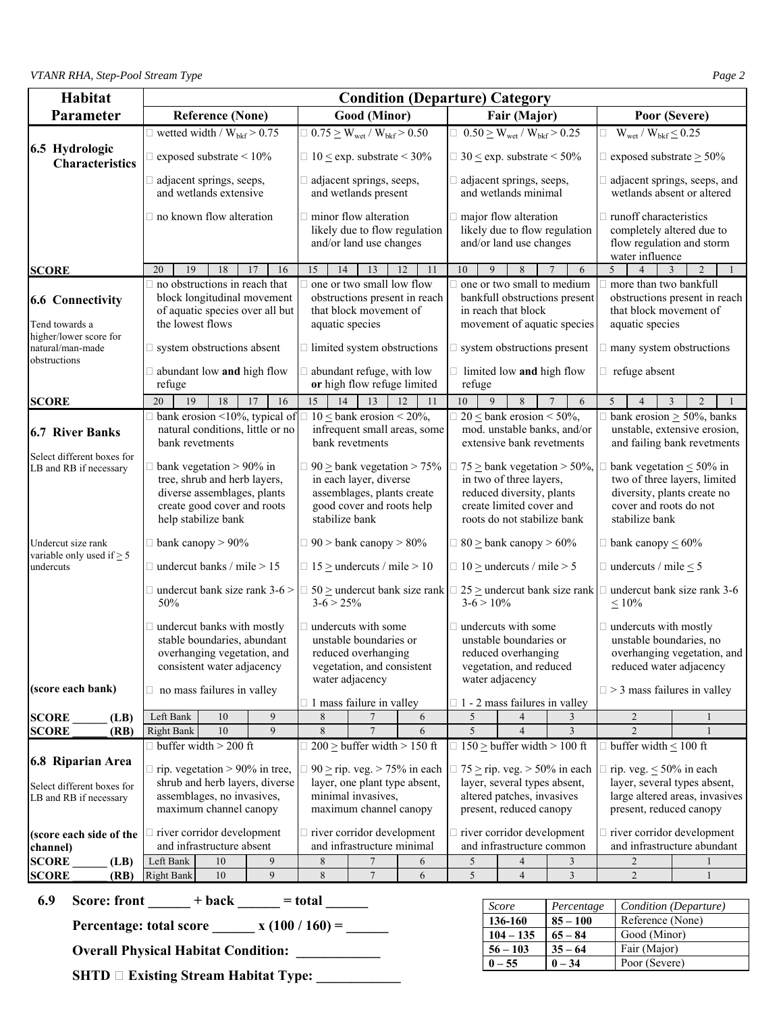| Habitat                                                             | <b>Condition (Departure) Category</b>                                                                                  |                                                                                                                                                  |                                      |                                                                                                                       |                                                                                                                                |          |                                                                                                                                                       |              |                                                         |                                                                                            |                                                                                                                                           |                                                            |  |
|---------------------------------------------------------------------|------------------------------------------------------------------------------------------------------------------------|--------------------------------------------------------------------------------------------------------------------------------------------------|--------------------------------------|-----------------------------------------------------------------------------------------------------------------------|--------------------------------------------------------------------------------------------------------------------------------|----------|-------------------------------------------------------------------------------------------------------------------------------------------------------|--------------|---------------------------------------------------------|--------------------------------------------------------------------------------------------|-------------------------------------------------------------------------------------------------------------------------------------------|------------------------------------------------------------|--|
| Parameter                                                           |                                                                                                                        | <b>Reference (None)</b>                                                                                                                          |                                      |                                                                                                                       | Good (Minor)                                                                                                                   |          |                                                                                                                                                       |              | Fair (Major)                                            |                                                                                            |                                                                                                                                           | Poor (Severe)                                              |  |
|                                                                     |                                                                                                                        | $\Box$ wetted width / $W_{bkf} > 0.75$                                                                                                           |                                      |                                                                                                                       | $\Box$ 0.75 $\geq$ W <sub>wet</sub> / W <sub>bkf</sub> $> 0.50$                                                                |          | $\Box$ 0.50 $\geq$ W <sub>wet</sub> / W <sub>bkf</sub> $> 0.25$                                                                                       |              |                                                         |                                                                                            | $\Box$ W <sub>wet</sub> / W <sub>bkf</sub> $\leq$ 0.25                                                                                    |                                                            |  |
| 6.5 Hydrologic<br><b>Characteristics</b>                            |                                                                                                                        | exposed substrate $\leq 10\%$<br>$\Box$ 10 $\leq$ exp. substrate $\leq$ 30%                                                                      |                                      |                                                                                                                       |                                                                                                                                |          |                                                                                                                                                       |              |                                                         | $\Box$ 30 $\leq$ exp. substrate $\leq$ 50%                                                 | $\Box$ exposed substrate $\geq 50\%$                                                                                                      |                                                            |  |
|                                                                     |                                                                                                                        | adjacent springs, seeps,<br>and wetlands extensive                                                                                               |                                      |                                                                                                                       | $\Box$ adjacent springs, seeps,<br>and wetlands present                                                                        |          |                                                                                                                                                       |              | adjacent springs, seeps,<br>and wetlands minimal        |                                                                                            |                                                                                                                                           | adjacent springs, seeps, and<br>wetlands absent or altered |  |
|                                                                     |                                                                                                                        | $\Box$ no known flow alteration                                                                                                                  |                                      |                                                                                                                       | $\Box$ minor flow alteration<br>likely due to flow regulation<br>and/or land use changes                                       |          |                                                                                                                                                       |              | $\Box$ major flow alteration<br>and/or land use changes | likely due to flow regulation                                                              | $\Box$ runoff characteristics<br>completely altered due to<br>flow regulation and storm<br>water influence                                |                                                            |  |
| <b>SCORE</b>                                                        | 20<br>19                                                                                                               | 18                                                                                                                                               | 17<br>16                             | 15<br>14                                                                                                              | 13                                                                                                                             | 12<br>11 | 10                                                                                                                                                    | 9            | 8                                                       | 6                                                                                          | 5<br>$\overline{4}$                                                                                                                       | $\overline{2}$<br>3                                        |  |
| <b>6.6 Connectivity</b><br>Tend towards a<br>higher/lower score for | the lowest flows                                                                                                       | $\Box$ no obstructions in reach that<br>block longitudinal movement<br>of aquatic species over all but                                           |                                      |                                                                                                                       | one or two small low flow<br>obstructions present in reach<br>that block movement of<br>aquatic species                        |          |                                                                                                                                                       |              | in reach that block                                     | one or two small to medium<br>bankfull obstructions present<br>movement of aquatic species | more than two bankfull<br>that block movement of<br>aquatic species                                                                       | obstructions present in reach                              |  |
| natural/man-made                                                    |                                                                                                                        | $\square$ system obstructions absent                                                                                                             |                                      |                                                                                                                       | $\Box$ limited system obstructions                                                                                             |          |                                                                                                                                                       |              |                                                         | $\Box$ system obstructions present                                                         | many system obstructions                                                                                                                  |                                                            |  |
| obstructions                                                        | refuge                                                                                                                 | $\Box$ abundant low and high flow                                                                                                                |                                      |                                                                                                                       | $\Box$ abundant refuge, with low<br>or high flow refuge limited                                                                |          | refuge                                                                                                                                                |              |                                                         | $\Box$ limited low and high flow                                                           | $\Box$ refuge absent                                                                                                                      |                                                            |  |
| <b>SCORE</b>                                                        | 20<br>19                                                                                                               | 18                                                                                                                                               | 17<br>16                             | 14<br>15                                                                                                              | 13                                                                                                                             | 12<br>11 | 10                                                                                                                                                    | 9            | 8                                                       | 6<br>7                                                                                     | 5<br>$\overline{4}$                                                                                                                       | $\overline{2}$<br>3                                        |  |
| <b>6.7 River Banks</b>                                              | bank revetments                                                                                                        | natural conditions, little or no                                                                                                                 | bank erosion <10%, typical of        |                                                                                                                       | $\Box$ 10 $\leq$ bank erosion $\leq$ 20%,<br>infrequent small areas, some<br>bank revetments                                   |          | $\Box$ 20 $\leq$ bank erosion $\leq$ 50%,<br>mod. unstable banks, and/or<br>extensive bank revetments                                                 |              |                                                         |                                                                                            | bank erosion $\geq$ 50%, banks<br>unstable, extensive erosion,<br>and failing bank revetments                                             |                                                            |  |
| Select different boxes for<br>LB and RB if necessary                |                                                                                                                        | bank vegetation $> 90\%$ in<br>tree, shrub and herb layers,<br>diverse assemblages, plants<br>create good cover and roots<br>help stabilize bank |                                      | stabilize bank                                                                                                        | $\Box$ 90 $\geq$ bank vegetation $> 75\%$<br>in each layer, diverse<br>assemblages, plants create<br>good cover and roots help |          | 75 $\geq$ bank vegetation $>$ 50%,<br>in two of three layers,<br>reduced diversity, plants<br>create limited cover and<br>roots do not stabilize bank |              |                                                         |                                                                                            | bank vegetation $\leq 50\%$ in<br>two of three layers, limited<br>diversity, plants create no<br>cover and roots do not<br>stabilize bank |                                                            |  |
| Undercut size rank<br>variable only used if $\geq$ 5                | $\Box$ bank canopy > 90%                                                                                               |                                                                                                                                                  |                                      |                                                                                                                       | $\Box$ 90 > bank canopy > 80%                                                                                                  |          | $\Box$ 80 $\geq$ bank canopy $> 60\%$                                                                                                                 |              |                                                         |                                                                                            | $\Box$ bank canopy $\leq 60\%$                                                                                                            |                                                            |  |
| undercuts                                                           | $\Box$ undercut banks / mile > 15                                                                                      |                                                                                                                                                  |                                      |                                                                                                                       | $\Box$ 15 $\geq$ undercuts / mile $>$ 10                                                                                       |          | $\Box$ 10 $\geq$ undercuts / mile $>$ 5                                                                                                               |              |                                                         |                                                                                            | $\Box$ undercuts / mile $\leq$ 5                                                                                                          |                                                            |  |
|                                                                     | 50%                                                                                                                    |                                                                                                                                                  | $\Box$ undercut bank size rank 3-6 > | $3-6 > 25%$                                                                                                           | $\Box$ 50 $\geq$ undercut bank size rank $\Box$ 25 $\geq$ undercut bank size rank $\Box$                                       |          |                                                                                                                                                       | $3-6 > 10\%$ |                                                         |                                                                                            | undercut bank size rank 3-6<br>$\leq 10\%$                                                                                                |                                                            |  |
|                                                                     | undercut banks with mostly<br>stable boundaries, abundant<br>overhanging vegetation, and<br>consistent water adjacency |                                                                                                                                                  |                                      | undercuts with some<br>unstable boundaries or<br>reduced overhanging<br>vegetation, and consistent<br>water adjacency |                                                                                                                                |          | $\Box$ undercuts with some<br>unstable boundaries or<br>reduced overhanging<br>vegetation, and reduced<br>water adjacency                             |              |                                                         |                                                                                            | $\Box$ undercuts with mostly<br>unstable boundaries, no<br>overhanging vegetation, and<br>reduced water adjacency                         |                                                            |  |
| (score each bank)                                                   | $\Box$ no mass failures in valley                                                                                      |                                                                                                                                                  |                                      |                                                                                                                       | $\Box$ 1 mass failure in valley                                                                                                |          |                                                                                                                                                       |              |                                                         | $\Box$ 1 - 2 mass failures in valley                                                       | $\Box$ > 3 mass failures in valley                                                                                                        |                                                            |  |
| <b>SCORE</b><br>(LB)                                                | Left Bank                                                                                                              | 10                                                                                                                                               | 9                                    | 8                                                                                                                     |                                                                                                                                | 6        | 5                                                                                                                                                     |              | 4                                                       | 3                                                                                          | 2                                                                                                                                         |                                                            |  |
| <b>SCORE</b><br>(RB)                                                | <b>Right Bank</b>                                                                                                      | 10                                                                                                                                               | 9                                    | 8                                                                                                                     | $\overline{7}$                                                                                                                 | 6        | 5                                                                                                                                                     |              | $\overline{4}$                                          | $\overline{3}$                                                                             | $\overline{2}$                                                                                                                            |                                                            |  |
| 6.8 Riparian Area                                                   |                                                                                                                        | $\Box$ buffer width > 200 ft<br>$\Box$ rip. vegetation > 90% in tree,                                                                            |                                      |                                                                                                                       | $200 \geq$ buffer width $> 150$ ft<br>$\Box$ 90 $\geq$ rip. veg. $>$ 75% in each                                               |          |                                                                                                                                                       |              |                                                         | $\Box$ 150 $\geq$ buffer width $>$ 100 ft<br>$\Box$ 75 $\geq$ rip. veg. $>$ 50% in each    | buffer width $\leq 100$ ft<br>rip. veg. $\leq 50\%$ in each                                                                               |                                                            |  |
| Select different boxes for                                          | shrub and herb layers, diverse                                                                                         |                                                                                                                                                  |                                      |                                                                                                                       | layer, one plant type absent,                                                                                                  |          |                                                                                                                                                       |              |                                                         | layer, several types absent,                                                               |                                                                                                                                           | layer, several types absent,                               |  |
| LB and RB if necessary                                              |                                                                                                                        | assemblages, no invasives,<br>maximum channel canopy                                                                                             |                                      |                                                                                                                       | minimal invasives,<br>maximum channel canopy                                                                                   |          | altered patches, invasives<br>present, reduced canopy                                                                                                 |              |                                                         |                                                                                            | large altered areas, invasives<br>present, reduced canopy                                                                                 |                                                            |  |
| (score each side of the                                             |                                                                                                                        | river corridor development                                                                                                                       |                                      |                                                                                                                       | $\Box$ river corridor development                                                                                              |          |                                                                                                                                                       |              |                                                         | $\Box$ river corridor development                                                          |                                                                                                                                           | river corridor development                                 |  |
| channel)                                                            |                                                                                                                        | and infrastructure absent                                                                                                                        |                                      |                                                                                                                       | and infrastructure minimal                                                                                                     |          |                                                                                                                                                       |              |                                                         | and infrastructure common                                                                  |                                                                                                                                           | and infrastructure abundant                                |  |
| <b>SCORE</b><br>(LB)                                                | Left Bank                                                                                                              | 10                                                                                                                                               | 9                                    | 8                                                                                                                     | 7                                                                                                                              | 6        | 5                                                                                                                                                     |              | 4                                                       | 3                                                                                          | $\overline{2}$                                                                                                                            |                                                            |  |
| <b>SCORE</b><br>(RB)                                                | <b>Right Bank</b>                                                                                                      | $10\,$                                                                                                                                           | 9                                    | $\,$ 8 $\,$                                                                                                           | $\tau$                                                                                                                         | 6        | 5                                                                                                                                                     |              | $\overline{4}$                                          | 3                                                                                          | $\overline{2}$                                                                                                                            | 1                                                          |  |

**6.9** Score: front  $\_\_\_\_$  + back  $\_\_\_\_$  = total  $\_\_\_\_\_$ 

**Percentage: total score \_\_\_\_\_\_ x**  $(100 / 160) =$  \_\_\_\_\_

 **Overall Physical Habitat Condition: \_\_\_\_\_\_\_\_\_\_\_\_** 

**SHTD**  $\Box$  **Existing Stream Habitat Type:** \_\_\_\_\_\_\_\_\_\_\_\_\_

| Score       | Percentage | Condition (Departure) |
|-------------|------------|-----------------------|
| 136-160     | $85 - 100$ | Reference (None)      |
| $104 - 135$ | $65 - 84$  | Good (Minor)          |
| $56 - 103$  | $35 - 64$  | Fair (Major)          |
| $0 - 55$    | $0 - 34$   | Poor (Severe)         |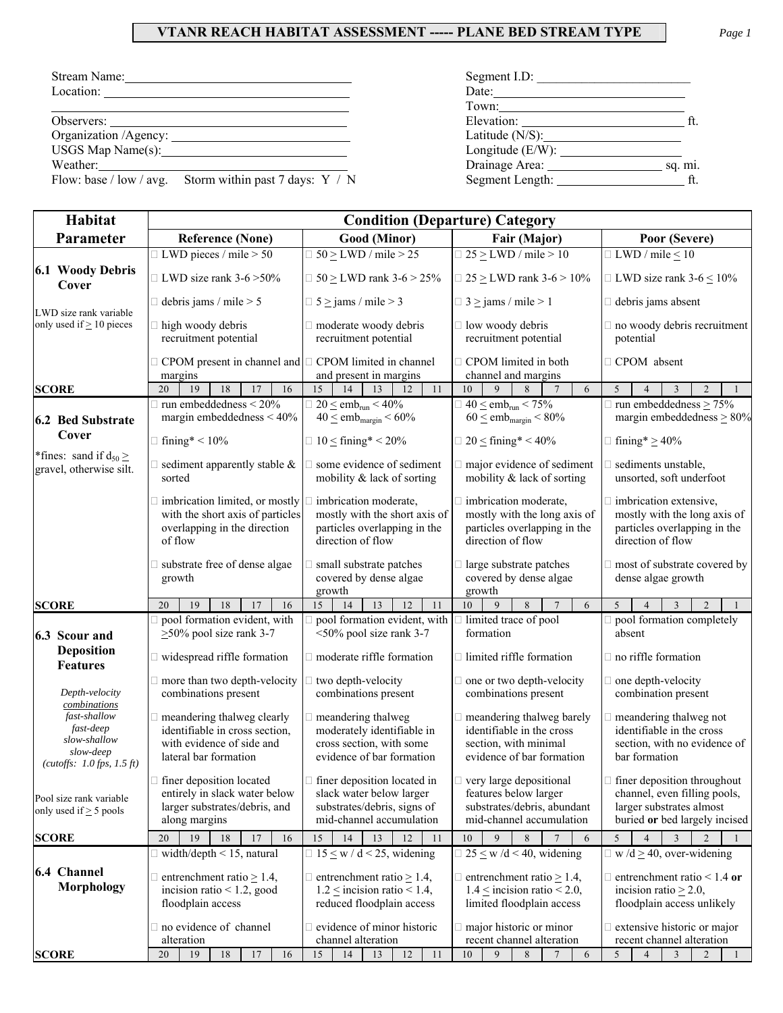## **VTANR REACH HABITAT ASSESSMENT ----- PLANE BED STREAM TYPE** *Page 1*

| Stream Name:                                              | Segment I.D:              |  |  |  |  |
|-----------------------------------------------------------|---------------------------|--|--|--|--|
| Location:                                                 | Date:                     |  |  |  |  |
|                                                           |                           |  |  |  |  |
|                                                           |                           |  |  |  |  |
| Organization /Agency:                                     |                           |  |  |  |  |
|                                                           |                           |  |  |  |  |
| Weather:                                                  | Drainage Area:<br>sq. mi. |  |  |  |  |
| Flow: base / low / avg. Storm within past 7 days: $Y / N$ | Segment Length:           |  |  |  |  |

| Habitat                                                                                  |                                                                                                                      |                                                                                                                                                          | <b>Condition (Departure) Category</b>                                                                                                          |                                                                                                                                       |  |  |  |
|------------------------------------------------------------------------------------------|----------------------------------------------------------------------------------------------------------------------|----------------------------------------------------------------------------------------------------------------------------------------------------------|------------------------------------------------------------------------------------------------------------------------------------------------|---------------------------------------------------------------------------------------------------------------------------------------|--|--|--|
| Parameter                                                                                | <b>Reference (None)</b>                                                                                              | Good (Minor)                                                                                                                                             | Fair (Major)                                                                                                                                   | Poor (Severe)                                                                                                                         |  |  |  |
|                                                                                          | $\Box$ LWD pieces / mile > 50                                                                                        | $\exists$ 50 $\geq$ LWD / mile > 25                                                                                                                      | $\Box$ 25 $\geq$ LWD / mile > 10                                                                                                               | $\Box$ LWD / mile $\leq 10$                                                                                                           |  |  |  |
| 6.1 Woody Debris<br>Cover                                                                | $\Box$ LWD size rank 3-6 > 50%                                                                                       | $\Box$ 50 $\geq$ LWD rank 3-6 $>$ 25%                                                                                                                    | $\Box$ LWD size rank 3-6 $\leq$ 10%                                                                                                            |                                                                                                                                       |  |  |  |
| LWD size rank variable                                                                   | $\exists$ debris jams / mile > 5                                                                                     | $\Box$ 5 $\ge$ jams / mile > 3                                                                                                                           | $\Box$ 3 $\ge$ jams / mile > 1                                                                                                                 | debris jams absent                                                                                                                    |  |  |  |
| only used if $\geq 10$ pieces                                                            | high woody debris<br>recruitment potential                                                                           | moderate woody debris<br>recruitment potential                                                                                                           | $\Box$ low woody debris<br>recruitment potential                                                                                               | no woody debris recruitment<br>potential                                                                                              |  |  |  |
|                                                                                          | CPOM present in channel and $\Box$ CPOM limited in channel<br>margins                                                | and present in margins                                                                                                                                   | □ CPOM limited in both<br>channel and margins                                                                                                  | □ CPOM absent                                                                                                                         |  |  |  |
| <b>SCORE</b>                                                                             | 19<br>20<br>18<br>17<br>16                                                                                           | 11<br>15<br>14<br>13<br>12                                                                                                                               | $\mathbf{Q}$<br>8<br>10<br>6                                                                                                                   | 5<br>$\overline{2}$<br>3<br>$\overline{4}$                                                                                            |  |  |  |
| 6.2 Bed Substrate                                                                        | run embeddedness < 20%<br>margin embeddedness $<$ 40%                                                                | $\Box$ 20 $\leq$ emb <sub>run</sub> $\lt$ 40%<br>$40 \leq$ emb <sub>margin</sub> < $60\%$                                                                | $\Box$ 40 $\le$ emb <sub>run</sub> < 75%<br>$60 \leq emb_{margin} \leq 80\%$                                                                   | $\Box$ run embeddedness $\geq 75\%$<br>margin embeddedness $\geq 80\%$                                                                |  |  |  |
| Cover                                                                                    | $\Box$ fining* < 10%                                                                                                 | $\Box$ 10 $\leq$ fining* < 20%                                                                                                                           | $\Box$ 20 $\leq$ fining* < 40%                                                                                                                 | $\Box$ fining* $\geq$ 40%                                                                                                             |  |  |  |
| *fines: sand if $d_{50} \ge$<br>gravel, otherwise silt.                                  | sediment apparently stable $\&$<br>sorted                                                                            | $\Box$ some evidence of sediment<br>mobility & lack of sorting                                                                                           | $\Box$ major evidence of sediment<br>mobility & lack of sorting                                                                                | $\Box$ sediments unstable,<br>unsorted, soft underfoot                                                                                |  |  |  |
|                                                                                          | imbrication limited, or mostly<br>with the short axis of particles<br>overlapping in the direction<br>of flow        | imbrication moderate,<br>mostly with the short axis of<br>particles overlapping in the<br>direction of flow                                              | imbrication moderate,<br>mostly with the long axis of<br>particles overlapping in the<br>direction of flow                                     | imbrication extensive,<br>mostly with the long axis of<br>particles overlapping in the<br>direction of flow                           |  |  |  |
|                                                                                          | substrate free of dense algae<br>growth                                                                              | small substrate patches<br>covered by dense algae<br>growth                                                                                              | $\Box$ large substrate patches<br>covered by dense algae<br>growth                                                                             | $\Box$ most of substrate covered by<br>dense algae growth                                                                             |  |  |  |
| <b>SCORE</b>                                                                             | 18<br>17<br>16<br>20<br>19                                                                                           | 15<br>13<br>12<br>14<br>11                                                                                                                               | 10<br>9<br>8<br>$\overline{7}$<br>6                                                                                                            | 5<br>$\overline{2}$<br>$\overline{4}$<br>3                                                                                            |  |  |  |
| 6.3 Scour and                                                                            | pool formation evident, with<br>$\geq$ 50% pool size rank 3-7                                                        | pool formation evident, with<br><50% pool size rank 3-7                                                                                                  | I limited trace of pool<br>formation                                                                                                           | pool formation completely<br>absent                                                                                                   |  |  |  |
| <b>Deposition</b><br><b>Features</b>                                                     | widespread riffle formation                                                                                          | moderate riffle formation                                                                                                                                | $\Box$ limited riffle formation                                                                                                                | $\Box$ no riffle formation                                                                                                            |  |  |  |
|                                                                                          | more than two depth-velocity                                                                                         | two depth-velocity                                                                                                                                       | $\Box$ one or two depth-velocity                                                                                                               | $\Box$ one depth-velocity                                                                                                             |  |  |  |
| Depth-velocity<br>combinations                                                           | combinations present                                                                                                 | combinations present                                                                                                                                     | combinations present                                                                                                                           | combination present                                                                                                                   |  |  |  |
| fast-shallow<br>fast-deep<br>slow-shallow<br>slow-deep<br>(cutoffs: $1.0$ fps, $1.5$ ft) | meandering thalweg clearly<br>identifiable in cross section,<br>with evidence of side and<br>lateral bar formation   | meandering thalweg<br>moderately identifiable in<br>cross section, with some<br>evidence of bar formation                                                | $\Box$ meandering thalweg barely<br>identifiable in the cross<br>section, with minimal<br>evidence of bar formation                            | meandering thalweg not<br>identifiable in the cross<br>section, with no evidence of<br>bar formation                                  |  |  |  |
| Pool size rank variable<br>only used if $\geq$ 5 pools                                   | $\Box$ finer deposition located<br>entirely in slack water below<br>larger substrates/debris, and<br>along margins   | $\Box$ finer deposition located in $\Box$ very large depositional<br>slack water below larger<br>substrates/debris, signs of<br>mid-channel accumulation | features below larger<br>substrates/debris, abundant<br>mid-channel accumulation                                                               | $\Box$ finer deposition throughout<br>channel, even filling pools,<br>larger substrates almost<br>buried or bed largely incised       |  |  |  |
| <b>SCORE</b>                                                                             | 19<br>17<br>20<br>18<br>16                                                                                           | 15<br>13<br>14<br>12<br>11                                                                                                                               | 10<br>9<br>8<br>$\overline{7}$<br>6                                                                                                            | 5<br>$\mathfrak{D}$<br>$\overline{4}$<br>3                                                                                            |  |  |  |
| 6.4 Channel<br>Morphology                                                                | width/depth $\leq$ 15, natural<br>entrenchment ratio $> 1.4$ ,<br>incision ratio $< 1.2$ , good<br>floodplain access | $\Box$ 15 $\leq$ w / d < 25, widening<br>$\Box$ entrenchment ratio $\geq$ 1.4,<br>$1.2 \le$ incision ratio < 1.4,<br>reduced floodplain access           | $\Box$ 25 $\leq$ w /d < 40, widening<br>$\Box$ entrenchment ratio $\geq$ 1.4,<br>$1.4 \leq$ incision ratio < 2.0,<br>limited floodplain access | $\Box$ w/d $\geq$ 40, over-widening<br>$\Box$ entrenchment ratio < 1.4 or<br>incision ratio $\geq$ 2.0,<br>floodplain access unlikely |  |  |  |
|                                                                                          | no evidence of channel<br>alteration                                                                                 | evidence of minor historic<br>channel alteration                                                                                                         | $\Box$ major historic or minor<br>recent channel alteration                                                                                    | extensive historic or major<br>recent channel alteration                                                                              |  |  |  |
| <b>SCORE</b>                                                                             | 18<br>17<br>16<br>20<br>19                                                                                           | 14<br>15<br>13<br>12<br>11                                                                                                                               | 10<br>9<br>8<br>$\tau$<br>6                                                                                                                    | 5<br>$\overline{4}$<br>$\mathfrak{Z}$<br>$\overline{2}$<br>-1                                                                         |  |  |  |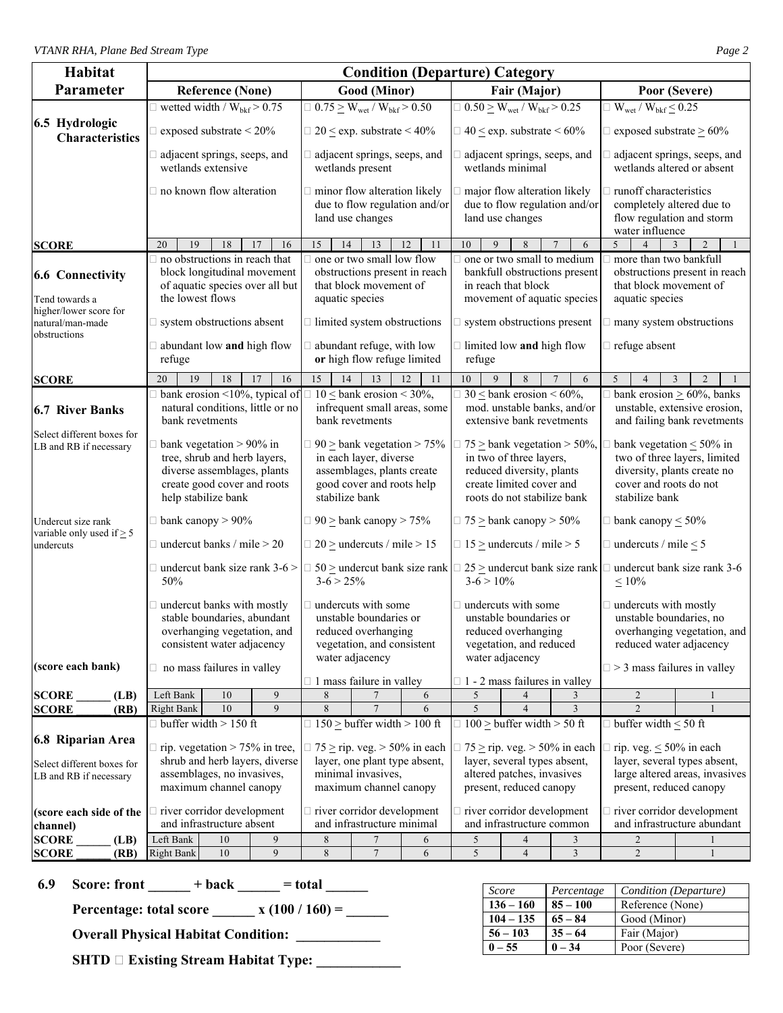| Habitat                                                                   | <b>Condition (Departure) Category</b>                                                                                                                           |                                                                                                                                                  |          |                                                                                                                                                                          |                                                                 |                                                                              |                                                                                                                                                                 |                                                                                                                                     |                                      |                                                                                                                                                  |                                                                                                 |  |  |
|---------------------------------------------------------------------------|-----------------------------------------------------------------------------------------------------------------------------------------------------------------|--------------------------------------------------------------------------------------------------------------------------------------------------|----------|--------------------------------------------------------------------------------------------------------------------------------------------------------------------------|-----------------------------------------------------------------|------------------------------------------------------------------------------|-----------------------------------------------------------------------------------------------------------------------------------------------------------------|-------------------------------------------------------------------------------------------------------------------------------------|--------------------------------------|--------------------------------------------------------------------------------------------------------------------------------------------------|-------------------------------------------------------------------------------------------------|--|--|
| Parameter                                                                 |                                                                                                                                                                 | <b>Reference (None)</b>                                                                                                                          |          |                                                                                                                                                                          | Good (Minor)                                                    |                                                                              |                                                                                                                                                                 | Fair (Major)                                                                                                                        |                                      |                                                                                                                                                  | Poor (Severe)                                                                                   |  |  |
|                                                                           |                                                                                                                                                                 | $\Box$ wetted width / $W_{\text{bkf}}$ > 0.75                                                                                                    |          |                                                                                                                                                                          | $\Box$ 0.75 $\geq$ W <sub>wet</sub> / W <sub>bkf</sub> $> 0.50$ |                                                                              |                                                                                                                                                                 | $\Box$ 0.50 $\geq$ W <sub>wet</sub> / W <sub>bkf</sub> $> 0.25$                                                                     |                                      | $\Box$ W <sub>wet</sub> / W <sub>bkf</sub> $\leq$ 0.25                                                                                           |                                                                                                 |  |  |
| 6.5 Hydrologic<br><b>Characteristics</b>                                  |                                                                                                                                                                 | $\Box$ 20 $\leq$ exp. substrate $\leq$ 40%<br>$\Box$ exposed substrate < 20%<br>$\Box$ 40 $\leq$ exp. substrate $\leq 60\%$                      |          |                                                                                                                                                                          |                                                                 |                                                                              |                                                                                                                                                                 |                                                                                                                                     | $\Box$ exposed substrate $\geq 60\%$ |                                                                                                                                                  |                                                                                                 |  |  |
|                                                                           |                                                                                                                                                                 | adjacent springs, seeps, and<br>wetlands extensive                                                                                               |          |                                                                                                                                                                          | adjacent springs, seeps, and<br>wetlands present                |                                                                              |                                                                                                                                                                 | adjacent springs, seeps, and<br>wetlands minimal                                                                                    |                                      |                                                                                                                                                  | adjacent springs, seeps, and<br>wetlands altered or absent                                      |  |  |
|                                                                           |                                                                                                                                                                 | $\Box$ no known flow alteration                                                                                                                  |          |                                                                                                                                                                          | minor flow alteration likely<br>land use changes                | due to flow regulation and/or                                                |                                                                                                                                                                 | major flow alteration likely<br>due to flow regulation and/or<br>land use changes                                                   |                                      | runoff characteristics<br>completely altered due to<br>flow regulation and storm<br>water influence                                              |                                                                                                 |  |  |
| <b>SCORE</b>                                                              | 20<br>19                                                                                                                                                        | 18                                                                                                                                               | 17<br>16 | 15<br>14                                                                                                                                                                 | 13                                                              | 12<br>11                                                                     | 10<br>9                                                                                                                                                         | 8                                                                                                                                   | 6                                    | 5<br>$\overline{4}$                                                                                                                              | 3<br>$\overline{c}$                                                                             |  |  |
| <b>6.6 Connectivity</b><br>Tend towards a<br>higher/lower score for       | the lowest flows                                                                                                                                                | $\Box$ no obstructions in reach that<br>block longitudinal movement<br>of aquatic species over all but                                           |          | aquatic species                                                                                                                                                          | one or two small low flow<br>that block movement of             | obstructions present in reach                                                |                                                                                                                                                                 | $\Box$ one or two small to medium<br>bankfull obstructions present<br>in reach that block<br>movement of aquatic species            |                                      | more than two bankfull<br>that block movement of<br>aquatic species                                                                              | obstructions present in reach                                                                   |  |  |
| natural/man-made<br>obstructions                                          |                                                                                                                                                                 | $\Box$ system obstructions absent                                                                                                                |          |                                                                                                                                                                          | $\Box$ limited system obstructions                              |                                                                              |                                                                                                                                                                 | $\Box$ system obstructions present                                                                                                  |                                      | $\Box$ many system obstructions                                                                                                                  |                                                                                                 |  |  |
|                                                                           | refuge                                                                                                                                                          | $\Box$ abundant low and high flow                                                                                                                |          |                                                                                                                                                                          | abundant refuge, with low<br>or high flow refuge limited        |                                                                              | refuge                                                                                                                                                          | $\Box$ limited low and high flow                                                                                                    |                                      | refuge absent                                                                                                                                    |                                                                                                 |  |  |
| <b>SCORE</b>                                                              | 20<br>19                                                                                                                                                        | 18                                                                                                                                               | 17<br>16 | 15<br>14                                                                                                                                                                 | 13                                                              | 12<br>11                                                                     | 10<br>9                                                                                                                                                         | 8                                                                                                                                   | $\overline{7}$<br>6                  | 5<br>$\overline{4}$                                                                                                                              | $\overline{2}$<br>$\overline{3}$                                                                |  |  |
| <b>6.7 River Banks</b>                                                    |                                                                                                                                                                 | bank erosion <10%, typical of<br>natural conditions, little or no<br>bank revetments                                                             |          |                                                                                                                                                                          | $10 \leq$ bank erosion < 30%,<br>bank revetments                | infrequent small areas, some                                                 |                                                                                                                                                                 | $\exists$ 30 $\leq$ bank erosion $\leq$ 60%,<br>mod. unstable banks, and/or<br>extensive bank revetments                            |                                      |                                                                                                                                                  | bank erosion $\geq 60\%$ , banks<br>unstable, extensive erosion,<br>and failing bank revetments |  |  |
| Select different boxes for<br>LB and RB if necessary                      |                                                                                                                                                                 | bank vegetation $> 90\%$ in<br>tree, shrub and herb layers,<br>diverse assemblages, plants<br>create good cover and roots<br>help stabilize bank |          | $90 \geq$ bank vegetation > 75%<br>in each layer, diverse<br>assemblages, plants create<br>good cover and roots help<br>stabilize bank                                   |                                                                 |                                                                              | $\exists$ 75 $\geq$ bank vegetation $>$ 50%,<br>in two of three layers,<br>reduced diversity, plants<br>create limited cover and<br>roots do not stabilize bank |                                                                                                                                     |                                      | cover and roots do not<br>stabilize bank                                                                                                         | bank vegetation $\leq 50\%$ in<br>two of three layers, limited<br>diversity, plants create no   |  |  |
| Undercut size rank<br>variable only used if $\geq$ 5                      |                                                                                                                                                                 | $\Box$ bank canopy > 90%                                                                                                                         |          |                                                                                                                                                                          |                                                                 | $\Box$ 90 $\geq$ bank canopy $>$ 75%<br>$\Box$ 75 $\geq$ bank canopy $>$ 50% |                                                                                                                                                                 |                                                                                                                                     |                                      | $\Box$ bank canopy $\leq 50\%$                                                                                                                   |                                                                                                 |  |  |
| undercuts                                                                 |                                                                                                                                                                 | $\Box$ undercut banks / mile > 20                                                                                                                |          |                                                                                                                                                                          | $\Box$ 20 $\geq$ undercuts / mile $> 15$                        |                                                                              |                                                                                                                                                                 | $\Box$ 15 $\geq$ undercuts / mile $>$ 5                                                                                             |                                      | $\Box$ undercuts / mile $\leq$ 5                                                                                                                 |                                                                                                 |  |  |
|                                                                           | 50%                                                                                                                                                             | $\Box$ undercut bank size rank 3-6 >                                                                                                             |          | $3-6 > 25%$                                                                                                                                                              |                                                                 |                                                                              | $3-6 > 10\%$                                                                                                                                                    | $\Box$ 50 $\geq$ undercut bank size rank $\Box$ 25 $\geq$ undercut bank size rank $\Box$                                            |                                      | undercut bank size rank 3-6<br>$\leq 10\%$                                                                                                       |                                                                                                 |  |  |
| (score each bank)                                                         | undercut banks with mostly<br>stable boundaries, abundant<br>overhanging vegetation, and<br>consistent water adjacency<br>$\Box$ no mass failures in valley     |                                                                                                                                                  |          | undercuts with some<br>unstable boundaries or<br>reduced overhanging<br>vegetation, and consistent<br>water adjacency                                                    |                                                                 |                                                                              |                                                                                                                                                                 | $\exists$ undercuts with some<br>unstable boundaries or<br>reduced overhanging<br>vegetation, and reduced<br>water adjacency        |                                      | undercuts with mostly<br>unstable boundaries, no<br>overhanging vegetation, and<br>reduced water adjacency<br>$\Box$ > 3 mass failures in valley |                                                                                                 |  |  |
|                                                                           |                                                                                                                                                                 |                                                                                                                                                  |          |                                                                                                                                                                          | $\Box$ 1 mass failure in valley                                 |                                                                              |                                                                                                                                                                 | $\Box$ 1 - 2 mass failures in valley                                                                                                |                                      |                                                                                                                                                  |                                                                                                 |  |  |
| <b>SCORE</b><br>(LB)                                                      | Left Bank                                                                                                                                                       | 10                                                                                                                                               | 9        | 8                                                                                                                                                                        | $\overline{7}$                                                  | 6                                                                            | 5                                                                                                                                                               | 4                                                                                                                                   | 3                                    | $\overline{2}$                                                                                                                                   |                                                                                                 |  |  |
| <b>SCORE</b><br>(RB)                                                      | <b>Right Bank</b>                                                                                                                                               | $10\,$                                                                                                                                           | 9        | $\,8\,$                                                                                                                                                                  | $\overline{7}$                                                  | 6                                                                            | 5                                                                                                                                                               | $\overline{4}$<br>$\Box$ 100 $\geq$ buffer width $>$ 50 ft                                                                          | 3                                    | $\overline{2}$                                                                                                                                   |                                                                                                 |  |  |
| 6.8 Riparian Area<br>Select different boxes for<br>LB and RB if necessary | $\Box$ buffer width > 150 ft<br>$\Box$ rip. vegetation > 75% in tree,<br>shrub and herb layers, diverse<br>assemblages, no invasives,<br>maximum channel canopy |                                                                                                                                                  |          | $\Box$ 150 $\geq$ buffer width $>$ 100 ft<br>$\Box$ 75 $\geq$ rip. veg. $>$ 50% in each<br>layer, one plant type absent,<br>minimal invasives,<br>maximum channel canopy |                                                                 |                                                                              |                                                                                                                                                                 | $\Box$ 75 $\geq$ rip. veg. $>$ 50% in each<br>layer, several types absent,<br>altered patches, invasives<br>present, reduced canopy |                                      | $\Box$ buffer width $\leq 50$ ft<br>rip. veg. $\leq 50\%$ in each<br>H.<br>layer, several types absent,<br>large altered areas, invasives        |                                                                                                 |  |  |
| (score each side of the<br>channel)                                       |                                                                                                                                                                 | river corridor development<br>and infrastructure absent                                                                                          |          |                                                                                                                                                                          | $\Box$ river corridor development<br>and infrastructure minimal |                                                                              |                                                                                                                                                                 | $\Box$ river corridor development<br>and infrastructure common                                                                      |                                      | present, reduced canopy<br>in river corridor development<br>and infrastructure abundant                                                          |                                                                                                 |  |  |
| <b>SCORE</b><br>(LB)                                                      | Left Bank                                                                                                                                                       | 10                                                                                                                                               | 9        | $8\phantom{.}$                                                                                                                                                           | $\overline{7}$                                                  | 6                                                                            | 5                                                                                                                                                               | 4                                                                                                                                   | 3                                    | 2                                                                                                                                                |                                                                                                 |  |  |
| <b>SCORE</b><br>(RB)                                                      | <b>Right Bank</b>                                                                                                                                               | 10                                                                                                                                               | 9        | $8\phantom{.}$                                                                                                                                                           | $7\phantom{.0}$                                                 | 6                                                                            | 5                                                                                                                                                               | $\overline{4}$                                                                                                                      | $\mathfrak{Z}$                       | 2                                                                                                                                                | $\mathbf{1}$                                                                                    |  |  |

**6.9** Score: front  $\_\_\_\_$  + back  $\_\_\_\_$  = total

**Percentage: total score \_\_\_\_\_\_ x**  $(100 / 160) =$  \_\_\_\_\_

**Overall Physical Habitat Condition:** 

 **SHTD**  $\Box$  Existing Stream Habitat Type: \_\_\_\_\_\_\_\_\_\_\_\_

| Score       | Percentage | Condition (Departure) |
|-------------|------------|-----------------------|
| $136 - 160$ | $85 - 100$ | Reference (None)      |
| $104 - 135$ | $65 - 84$  | Good (Minor)          |
| $56 - 103$  | $35 - 64$  | Fair (Major)          |
| $0 - 55$    | $0 - 34$   | Poor (Severe)         |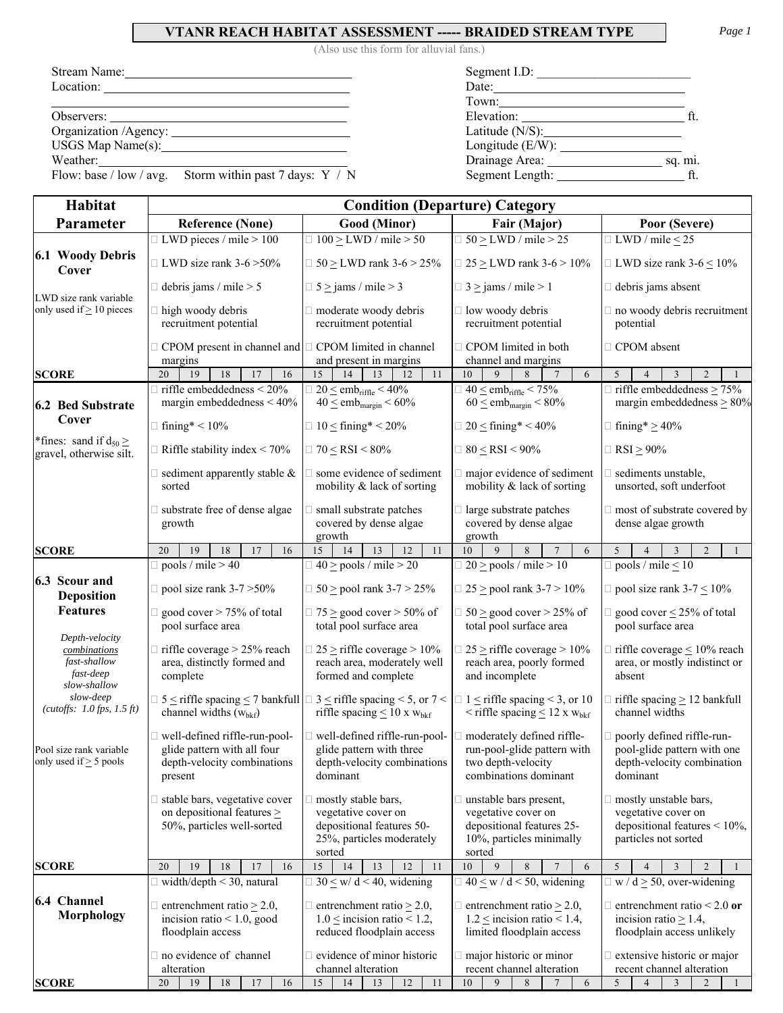## **VTANR REACH HABITAT ASSESSMENT ----- BRAIDED STREAM TYPE** *Page 1*

(Also use this form for alluvial fans.)

Flow: base / low / avg. Storm within past 7 days:  $Y / N$  Segment Leng

| Stream Name: 1988 and 1988 and 1988 and 1988 and 1988 and 1988 and 1988 and 1988 and 1988 and 1988 and 1988 and 1988 and 1988 and 1988 and 1988 and 1988 and 1988 and 1988 and 1988 and 1988 and 1988 and 1988 and 1988 and 19 | Segment I.D:                       |         |
|--------------------------------------------------------------------------------------------------------------------------------------------------------------------------------------------------------------------------------|------------------------------------|---------|
| $Location: \_$                                                                                                                                                                                                                 | Date: $\qquad \qquad$              |         |
|                                                                                                                                                                                                                                | Town:                              |         |
|                                                                                                                                                                                                                                | Elevation: http://www.franche.com/ |         |
|                                                                                                                                                                                                                                | Latitude $(N/S)$ :                 |         |
| $USGS$ Map Name(s): $\qquad \qquad$                                                                                                                                                                                            | Longitude $(E/W)$ :                |         |
| Weather.                                                                                                                                                                                                                       |                                    | sq. mi. |
| Flow: base / low / avg. Storm within past 7 days: $Y / N$                                                                                                                                                                      | Segment Length:                    |         |

| Habitat                                                                     | <b>Condition (Departure) Category</b>                                                                                                                                                                |                                                                                                                                                                                                                         |                                                                                                                                                               |                                                                                                                 |  |  |
|-----------------------------------------------------------------------------|------------------------------------------------------------------------------------------------------------------------------------------------------------------------------------------------------|-------------------------------------------------------------------------------------------------------------------------------------------------------------------------------------------------------------------------|---------------------------------------------------------------------------------------------------------------------------------------------------------------|-----------------------------------------------------------------------------------------------------------------|--|--|
| Parameter                                                                   | <b>Good (Minor)</b><br><b>Reference (None)</b>                                                                                                                                                       |                                                                                                                                                                                                                         | Fair (Major)                                                                                                                                                  | Poor (Severe)                                                                                                   |  |  |
|                                                                             | $\Box$ LWD pieces / mile > 100                                                                                                                                                                       | $\Box$ 100 $\geq$ LWD / mile $>$ 50                                                                                                                                                                                     | $\Box$ 50 $\geq$ LWD / mile > 25                                                                                                                              | $\Box$ LWD / mile $\leq$ 25                                                                                     |  |  |
| 6.1 Woody Debris<br>Cover                                                   | $\Box$ LWD size rank 3-6 > 50%                                                                                                                                                                       | $\Box$ 50 $\geq$ LWD rank 3-6 $>$ 25%                                                                                                                                                                                   | $\Box$ 25 $\geq$ LWD rank 3-6 $>$ 10%                                                                                                                         | $\Box$ LWD size rank 3-6 $\leq$ 10%                                                                             |  |  |
| LWD size rank variable                                                      | $\Box$ debris jams / mile > 5                                                                                                                                                                        | $\Box$ 5 $\ge$ jams / mile $>$ 3                                                                                                                                                                                        | $\Box$ 3 \lequal jams / mile > 1                                                                                                                              | $\Box$ debris jams absent                                                                                       |  |  |
| only used if $\geq 10$ pieces                                               | $\Box$ high woody debris<br>□ moderate woody debris<br>recruitment potential                                                                                                                         |                                                                                                                                                                                                                         | $\Box$ low woody debris<br>recruitment potential                                                                                                              | $\Box$ no woody debris recruitment<br>potential                                                                 |  |  |
|                                                                             | $\Box$ CPOM present in channel and<br>margins                                                                                                                                                        | $\Box$ CPOM limited in channel<br>and present in margins                                                                                                                                                                | $\Box$ CPOM limited in both<br>channel and margins                                                                                                            | □ CPOM absent                                                                                                   |  |  |
| <b>SCORE</b>                                                                | 19<br>20<br>18<br>17<br>16                                                                                                                                                                           | 15<br>11<br>14<br>13<br>12                                                                                                                                                                                              | 10<br>9<br>6<br>8                                                                                                                                             | 5<br>3<br>$\mathfrak{D}$<br>$\mathbf{1}$<br>$\overline{4}$                                                      |  |  |
| <b>6.2 Bed Substrate</b>                                                    | $\Box$ riffle embeddedness < 20%<br>margin embeddedness $< 40\%$                                                                                                                                     | $\Box$ 20 $\leq$ emb <sub>riffle</sub> $<$ 40%<br>$40 \leq \text{emb}_{\text{margin}} < 60\%$                                                                                                                           | $\Box$ 40 $\le$ emb <sub>riffle</sub> < 75%<br>$60 \leq$ emb <sub>margin</sub> < 80%                                                                          | $\Box$ riffle embeddedness $\geq$ 75%<br>margin embeddedness $\geq 80\%$                                        |  |  |
| Cover                                                                       | $\Box$ fining* < 10%                                                                                                                                                                                 | $\Box$ 10 $\leq$ fining* < 20%                                                                                                                                                                                          | $\Box$ 20 $\leq$ fining* < 40%                                                                                                                                | $\Box$ fining* $\geq$ 40%                                                                                       |  |  |
| *fines: sand if $d_{50} \ge$<br>gravel, otherwise silt.                     | $\Box$ Riffle stability index < 70%                                                                                                                                                                  | $\Box$ 70 < RSI < 80%                                                                                                                                                                                                   | $\Box$ 80 < RSI < 90%                                                                                                                                         | $\Box$ RSI > 90%                                                                                                |  |  |
|                                                                             | $\Box$ sediment apparently stable &<br>sorted                                                                                                                                                        | $\Box$ some evidence of sediment<br>mobility & lack of sorting                                                                                                                                                          | major evidence of sediment<br>mobility & lack of sorting                                                                                                      | $\Box$ sediments unstable,<br>unsorted, soft underfoot                                                          |  |  |
|                                                                             | substrate free of dense algae<br>growth                                                                                                                                                              | □ small substrate patches<br>covered by dense algae<br>growth                                                                                                                                                           | $\Box$ large substrate patches<br>covered by dense algae<br>growth                                                                                            | □ most of substrate covered by<br>dense algae growth                                                            |  |  |
| <b>SCORE</b>                                                                | 19<br>18<br>17<br>20<br>16                                                                                                                                                                           | 15<br>14<br>13<br>12<br>11                                                                                                                                                                                              | 9<br>8<br>$\overline{7}$<br>10<br>6                                                                                                                           | $\overline{5}$<br>$\overline{3}$<br>$\overline{2}$<br>$\overline{4}$<br>$\mathbf{1}$                            |  |  |
|                                                                             | $\Box$ pools / mile > 40                                                                                                                                                                             | $\Box$ 40 $\ge$ pools / mile > 20                                                                                                                                                                                       | $\Box$ 20 $\ge$ pools / mile > 10                                                                                                                             | $\Box$ pools / mile $\leq 10$                                                                                   |  |  |
| 6.3 Scour and<br><b>Deposition</b>                                          | $\Box$ pool size rank 3-7 > 50%                                                                                                                                                                      | $\Box$ 50 $\ge$ pool rank 3-7 $>$ 25%                                                                                                                                                                                   | $\Box$ 25 $\ge$ pool rank 3-7 $>$ 10%                                                                                                                         | $\Box$ pool size rank 3-7 $\leq$ 10%                                                                            |  |  |
| <b>Features</b>                                                             | $\Box$ good cover > 75% of total<br>pool surface area                                                                                                                                                | $\Box$ 75 $\geq$ good cover $>$ 50% of<br>total pool surface area                                                                                                                                                       | $\Box$ 50 $\geq$ good cover $>$ 25% of<br>total pool surface area                                                                                             | $\Box$ good cover $\leq$ 25% of total<br>pool surface area                                                      |  |  |
| Depth-velocity<br>combinations<br>fast-shallow<br>fast-deep<br>slow-shallow | $\Box$ riffle coverage > 25% reach<br>area, distinctly formed and<br>complete                                                                                                                        | $\Box$ 25 $\geq$ riffle coverage $>10\%$<br>reach area, moderately well<br>formed and complete                                                                                                                          | $\Box$ 25 $\geq$ riffle coverage $>10\%$<br>reach area, poorly formed<br>and incomplete                                                                       | $\Box$ riffle coverage $\leq 10\%$ reach<br>area, or mostly indistinct or<br>absent                             |  |  |
| slow-deep<br>( <i>cutoffs</i> : $1.0$ <i>fps</i> , $1.5$ <i>ft</i> )        | $\Box$ 5 $\leq$ riffle spacing $\leq$ 7 bankfull $\Box$ 3 $\leq$ riffle spacing $\leq$ 5, or 7 $\leq$<br>channel widths $(w_{bkf})$                                                                  | riffle spacing $\leq 10$ x $w_{bkf}$                                                                                                                                                                                    | $\Box$ riffle spacing $\geq$ 12 bankfull<br>$\Box$ 1 $\leq$ riffle spacing < 3, or 10<br>channel widths<br>$\leq$ riffle spacing $\leq$ 12 x w <sub>bkf</sub> |                                                                                                                 |  |  |
| Pool size rank variable<br>only used if $\geq$ 5 pools                      | □ well-defined riffle-run-pool-<br>glide pattern with all four<br>depth-velocity combinations<br>present                                                                                             | $\Box$ well-defined riffle-run-pool-<br>moderately defined riffle-<br>glide pattern with three<br>run-pool-glide pattern with<br>depth-velocity combinations<br>two depth-velocity<br>dominant<br>combinations dominant |                                                                                                                                                               | $\Box$ poorly defined riffle-run-<br>pool-glide pattern with one<br>depth-velocity combination<br>dominant      |  |  |
|                                                                             | stable bars, vegetative cover<br>on depositional features $\geq$<br>50%, particles well-sorted                                                                                                       | $\Box$ mostly stable bars,<br>vegetative cover on<br>depositional features 50-<br>25%, particles moderately<br>sorted                                                                                                   | $\Box$ unstable bars present,<br>vegetative cover on<br>depositional features 25-<br>10%, particles minimally<br>sorted                                       | $\Box$ mostly unstable bars,<br>vegetative cover on<br>depositional features $< 10\%$ ,<br>particles not sorted |  |  |
| <b>SCORE</b>                                                                | 20<br>19<br>18<br>17<br>16                                                                                                                                                                           | 15<br>14<br>13<br>12<br>11                                                                                                                                                                                              | 10<br>9<br>8<br>6                                                                                                                                             | 5<br>3<br>$\overline{4}$                                                                                        |  |  |
|                                                                             | $\Box$ width/depth < 30, natural                                                                                                                                                                     | $\Box$ 30 $\leq$ w/ d < 40, widening                                                                                                                                                                                    | $\Box$ 40 < w / d < 50, widening                                                                                                                              | $\Box$ w / d $\geq$ 50, over-widening                                                                           |  |  |
| 6.4 Channel<br>Morphology                                                   | $\Box$ entrenchment ratio $\geq$ 2.0,<br>$\Box$ entrenchment ratio $\geq$ 2.0,<br>$1.0 \le$ incision ratio < 1.2,<br>incision ratio $< 1.0$ , good<br>reduced floodplain access<br>floodplain access |                                                                                                                                                                                                                         | entrenchment ratio $\geq$ 2.0,<br>$1.2 \le$ incision ratio < 1.4,<br>limited floodplain access                                                                | $\Box$ entrenchment ratio < 2.0 or<br>incision ratio $\geq$ 1.4,<br>floodplain access unlikely                  |  |  |
|                                                                             | no evidence of channel                                                                                                                                                                               | $\Box$ evidence of minor historic<br>major historic or minor                                                                                                                                                            |                                                                                                                                                               | $\Box$ extensive historic or major                                                                              |  |  |
| <b>SCORE</b>                                                                | alteration<br>$18\,$<br>20<br>19<br>17<br>16                                                                                                                                                         | channel alteration<br>15<br>11<br>14<br>13<br>12                                                                                                                                                                        | recent channel alteration<br>10<br>9<br>$\,8\,$<br>6<br>7                                                                                                     | recent channel alteration<br>5<br>$\overline{4}$<br>3<br>2<br>1                                                 |  |  |
|                                                                             |                                                                                                                                                                                                      |                                                                                                                                                                                                                         |                                                                                                                                                               |                                                                                                                 |  |  |